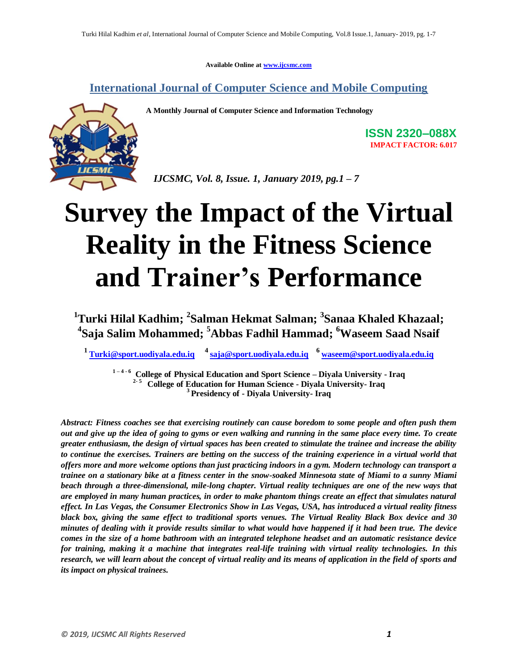**Available Online at www.ijcsmc.com**

**International Journal of Computer Science and Mobile Computing**

**A Monthly Journal of Computer Science and Information Technology**



**ISSN 2320–088X IMPACT FACTOR: 6.017**

*IJCSMC, Vol. 8, Issue. 1, January 2019, pg.1 – 7*

# **Survey the Impact of the Virtual Reality in the Fitness Science and Trainer's Performance**

**<sup>1</sup>Turki Hilal Kadhim; <sup>2</sup> Salman Hekmat Salman; <sup>3</sup> Sanaa Khaled Khazaal; 4 Saja Salim Mohammed; <sup>5</sup>Abbas Fadhil Hammad; <sup>6</sup>Waseem Saad Nsaif**

**<sup>1</sup>Turki@sport.uodiyala.edu.iq <sup>4</sup>saja@sport.uodiyala.edu.iq <sup>6</sup>waseem@sport.uodiyala.edu.iq**

**1 – 4 - <sup>6</sup>College of Physical Education and Sport Science – Diyala University - Iraq 2- <sup>5</sup> College of Education for Human Science - Diyala University- Iraq <sup>3</sup>Presidency of - Diyala University- Iraq**

*Abstract: Fitness coaches see that exercising routinely can cause boredom to some people and often push them out and give up the idea of going to gyms or even walking and running in the same place every time. To create greater enthusiasm, the design of virtual spaces has been created to stimulate the trainee and increase the ability to continue the exercises. Trainers are betting on the success of the training experience in a virtual world that offers more and more welcome options than just practicing indoors in a gym. Modern technology can transport a trainee on a stationary bike at a fitness center in the snow-soaked Minnesota state of Miami to a sunny Miami beach through a three-dimensional, mile-long chapter. Virtual reality techniques are one of the new ways that are employed in many human practices, in order to make phantom things create an effect that simulates natural effect. In Las Vegas, the Consumer Electronics Show in Las Vegas, USA, has introduced a virtual reality fitness black box, giving the same effect to traditional sports venues. The Virtual Reality Black Box device and 30 minutes of dealing with it provide results similar to what would have happened if it had been true. The device comes in the size of a home bathroom with an integrated telephone headset and an automatic resistance device for training, making it a machine that integrates real-life training with virtual reality technologies. In this research, we will learn about the concept of virtual reality and its means of application in the field of sports and its impact on physical trainees.*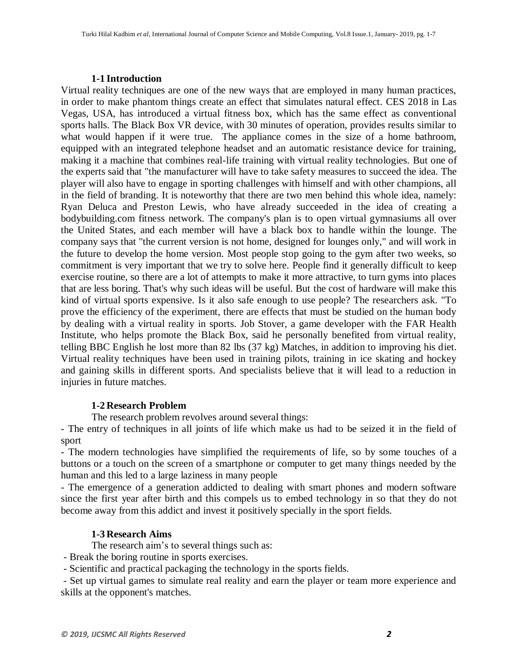#### **1-1 Introduction**

Virtual reality techniques are one of the new ways that are employed in many human practices, in order to make phantom things create an effect that simulates natural effect. CES 2018 in Las Vegas, USA, has introduced a virtual fitness box, which has the same effect as conventional sports halls. The Black Box VR device, with 30 minutes of operation, provides results similar to what would happen if it were true. The appliance comes in the size of a home bathroom, equipped with an integrated telephone headset and an automatic resistance device for training, making it a machine that combines real-life training with virtual reality technologies. But one of the experts said that "the manufacturer will have to take safety measures to succeed the idea. The player will also have to engage in sporting challenges with himself and with other champions, all in the field of branding. It is noteworthy that there are two men behind this whole idea, namely: Ryan Deluca and Preston Lewis, who have already succeeded in the idea of creating a bodybuilding.com fitness network. The company's plan is to open virtual gymnasiums all over the United States, and each member will have a black box to handle within the lounge. The company says that "the current version is not home, designed for lounges only," and will work in the future to develop the home version. Most people stop going to the gym after two weeks, so commitment is very important that we try to solve here. People find it generally difficult to keep exercise routine, so there are a lot of attempts to make it more attractive, to turn gyms into places that are less boring. That's why such ideas will be useful. But the cost of hardware will make this kind of virtual sports expensive. Is it also safe enough to use people? The researchers ask. "To prove the efficiency of the experiment, there are effects that must be studied on the human body by dealing with a virtual reality in sports. Job Stover, a game developer with the FAR Health Institute, who helps promote the Black Box, said he personally benefited from virtual reality, telling BBC English he lost more than 82 lbs (37 kg) Matches, in addition to improving his diet. Virtual reality techniques have been used in training pilots, training in ice skating and hockey and gaining skills in different sports. And specialists believe that it will lead to a reduction in injuries in future matches.

# **1-2 Research Problem**

The research problem revolves around several things:

- The entry of techniques in all joints of life which make us had to be seized it in the field of sport

- The modern technologies have simplified the requirements of life, so by some touches of a buttons or a touch on the screen of a smartphone or computer to get many things needed by the human and this led to a large laziness in many people

- The emergence of a generation addicted to dealing with smart phones and modern software since the first year after birth and this compels us to embed technology in so that they do not become away from this addict and invest it positively specially in the sport fields.

# **1-3 Research Aims**

The research aim's to several things such as:

- Break the boring routine in sports exercises.

- Scientific and practical packaging the technology in the sports fields.

- Set up virtual games to simulate real reality and earn the player or team more experience and skills at the opponent's matches.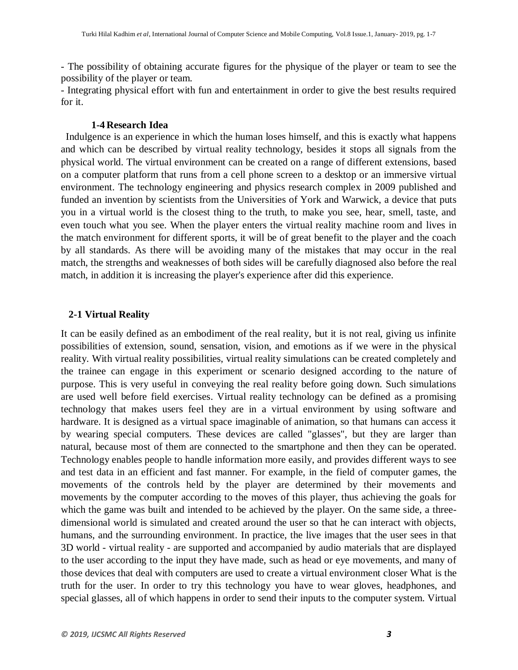- The possibility of obtaining accurate figures for the physique of the player or team to see the possibility of the player or team.

- Integrating physical effort with fun and entertainment in order to give the best results required for it.

#### **1-4 Research Idea**

 Indulgence is an experience in which the human loses himself, and this is exactly what happens and which can be described by virtual reality technology, besides it stops all signals from the physical world. The virtual environment can be created on a range of different extensions, based on a computer platform that runs from a cell phone screen to a desktop or an immersive virtual environment. The technology engineering and physics research complex in 2009 published and funded an invention by scientists from the Universities of York and Warwick, a device that puts you in a virtual world is the closest thing to the truth, to make you see, hear, smell, taste, and even touch what you see. When the player enters the virtual reality machine room and lives in the match environment for different sports, it will be of great benefit to the player and the coach by all standards. As there will be avoiding many of the mistakes that may occur in the real match, the strengths and weaknesses of both sides will be carefully diagnosed also before the real match, in addition it is increasing the player's experience after did this experience.

#### **2-1 Virtual Reality**

It can be easily defined as an embodiment of the real reality, but it is not real, giving us infinite possibilities of extension, sound, sensation, vision, and emotions as if we were in the physical reality. With virtual reality possibilities, virtual reality simulations can be created completely and the trainee can engage in this experiment or scenario designed according to the nature of purpose. This is very useful in conveying the real reality before going down. Such simulations are used well before field exercises. Virtual reality technology can be defined as a promising technology that makes users feel they are in a virtual environment by using software and hardware. It is designed as a virtual space imaginable of animation, so that humans can access it by wearing special computers. These devices are called "glasses", but they are larger than natural, because most of them are connected to the smartphone and then they can be operated. Technology enables people to handle information more easily, and provides different ways to see and test data in an efficient and fast manner. For example, in the field of computer games, the movements of the controls held by the player are determined by their movements and movements by the computer according to the moves of this player, thus achieving the goals for which the game was built and intended to be achieved by the player. On the same side, a threedimensional world is simulated and created around the user so that he can interact with objects, humans, and the surrounding environment. In practice, the live images that the user sees in that 3D world - virtual reality - are supported and accompanied by audio materials that are displayed to the user according to the input they have made, such as head or eye movements, and many of those devices that deal with computers are used to create a virtual environment closer What is the truth for the user. In order to try this technology you have to wear gloves, headphones, and special glasses, all of which happens in order to send their inputs to the computer system. Virtual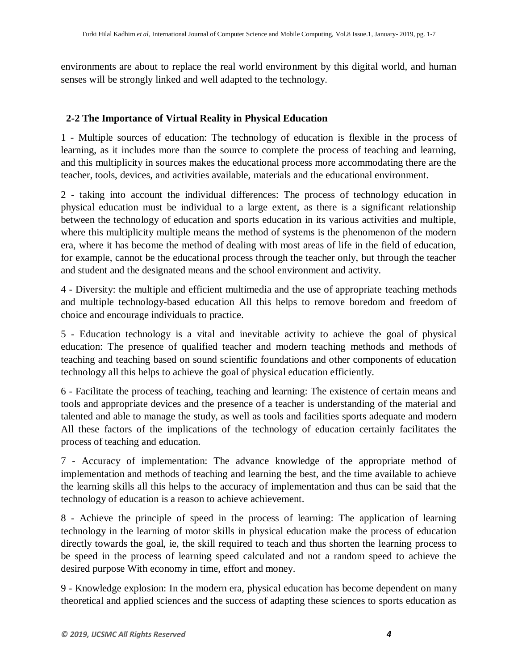environments are about to replace the real world environment by this digital world, and human senses will be strongly linked and well adapted to the technology.

# **2-2 The Importance of Virtual Reality in Physical Education**

1 - Multiple sources of education: The technology of education is flexible in the process of learning, as it includes more than the source to complete the process of teaching and learning, and this multiplicity in sources makes the educational process more accommodating there are the teacher, tools, devices, and activities available, materials and the educational environment.

2 - taking into account the individual differences: The process of technology education in physical education must be individual to a large extent, as there is a significant relationship between the technology of education and sports education in its various activities and multiple, where this multiplicity multiple means the method of systems is the phenomenon of the modern era, where it has become the method of dealing with most areas of life in the field of education, for example, cannot be the educational process through the teacher only, but through the teacher and student and the designated means and the school environment and activity.

4 - Diversity: the multiple and efficient multimedia and the use of appropriate teaching methods and multiple technology-based education All this helps to remove boredom and freedom of choice and encourage individuals to practice.

5 - Education technology is a vital and inevitable activity to achieve the goal of physical education: The presence of qualified teacher and modern teaching methods and methods of teaching and teaching based on sound scientific foundations and other components of education technology all this helps to achieve the goal of physical education efficiently.

6 - Facilitate the process of teaching, teaching and learning: The existence of certain means and tools and appropriate devices and the presence of a teacher is understanding of the material and talented and able to manage the study, as well as tools and facilities sports adequate and modern All these factors of the implications of the technology of education certainly facilitates the process of teaching and education.

7 - Accuracy of implementation: The advance knowledge of the appropriate method of implementation and methods of teaching and learning the best, and the time available to achieve the learning skills all this helps to the accuracy of implementation and thus can be said that the technology of education is a reason to achieve achievement.

8 - Achieve the principle of speed in the process of learning: The application of learning technology in the learning of motor skills in physical education make the process of education directly towards the goal, ie, the skill required to teach and thus shorten the learning process to be speed in the process of learning speed calculated and not a random speed to achieve the desired purpose With economy in time, effort and money.

9 - Knowledge explosion: In the modern era, physical education has become dependent on many theoretical and applied sciences and the success of adapting these sciences to sports education as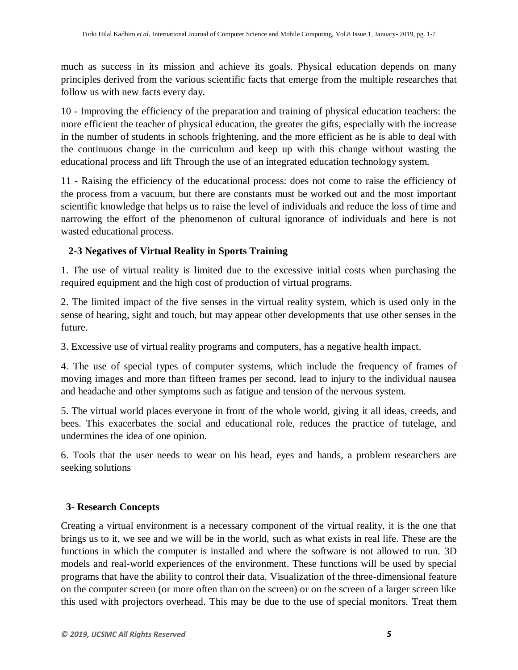much as success in its mission and achieve its goals. Physical education depends on many principles derived from the various scientific facts that emerge from the multiple researches that follow us with new facts every day.

10 - Improving the efficiency of the preparation and training of physical education teachers: the more efficient the teacher of physical education, the greater the gifts, especially with the increase in the number of students in schools frightening, and the more efficient as he is able to deal with the continuous change in the curriculum and keep up with this change without wasting the educational process and lift Through the use of an integrated education technology system.

11 - Raising the efficiency of the educational process: does not come to raise the efficiency of the process from a vacuum, but there are constants must be worked out and the most important scientific knowledge that helps us to raise the level of individuals and reduce the loss of time and narrowing the effort of the phenomenon of cultural ignorance of individuals and here is not wasted educational process.

# **2-3 Negatives of Virtual Reality in Sports Training**

1. The use of virtual reality is limited due to the excessive initial costs when purchasing the required equipment and the high cost of production of virtual programs.

2. The limited impact of the five senses in the virtual reality system, which is used only in the sense of hearing, sight and touch, but may appear other developments that use other senses in the future.

3. Excessive use of virtual reality programs and computers, has a negative health impact.

4. The use of special types of computer systems, which include the frequency of frames of moving images and more than fifteen frames per second, lead to injury to the individual nausea and headache and other symptoms such as fatigue and tension of the nervous system.

5. The virtual world places everyone in front of the whole world, giving it all ideas, creeds, and bees. This exacerbates the social and educational role, reduces the practice of tutelage, and undermines the idea of one opinion.

6. Tools that the user needs to wear on his head, eyes and hands, a problem researchers are seeking solutions

# **3- Research Concepts**

Creating a virtual environment is a necessary component of the virtual reality, it is the one that brings us to it, we see and we will be in the world, such as what exists in real life. These are the functions in which the computer is installed and where the software is not allowed to run. 3D models and real-world experiences of the environment. These functions will be used by special programs that have the ability to control their data. Visualization of the three-dimensional feature on the computer screen (or more often than on the screen) or on the screen of a larger screen like this used with projectors overhead. This may be due to the use of special monitors. Treat them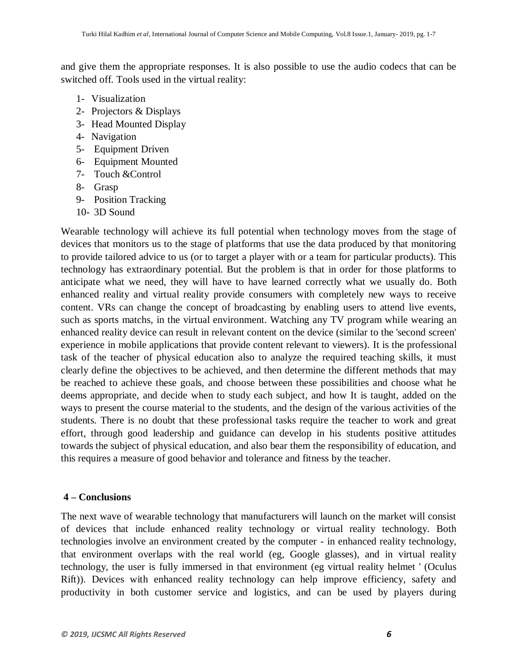and give them the appropriate responses. It is also possible to use the audio codecs that can be switched off. Tools used in the virtual reality:

- 1- Visualization
- 2- Projectors & Displays
- 3- Head Mounted Display
- 4- Navigation
- 5- Equipment Driven
- 6- Equipment Mounted
- 7- Touch &Control
- 8- Grasp
- 9- Position Tracking
- 10- 3D Sound

Wearable technology will achieve its full potential when technology moves from the stage of devices that monitors us to the stage of platforms that use the data produced by that monitoring to provide tailored advice to us (or to target a player with or a team for particular products). This technology has extraordinary potential. But the problem is that in order for those platforms to anticipate what we need, they will have to have learned correctly what we usually do. Both enhanced reality and virtual reality provide consumers with completely new ways to receive content. VRs can change the concept of broadcasting by enabling users to attend live events, such as sports matchs, in the virtual environment. Watching any TV program while wearing an enhanced reality device can result in relevant content on the device (similar to the 'second screen' experience in mobile applications that provide content relevant to viewers). It is the professional task of the teacher of physical education also to analyze the required teaching skills, it must clearly define the objectives to be achieved, and then determine the different methods that may be reached to achieve these goals, and choose between these possibilities and choose what he deems appropriate, and decide when to study each subject, and how It is taught, added on the ways to present the course material to the students, and the design of the various activities of the students. There is no doubt that these professional tasks require the teacher to work and great effort, through good leadership and guidance can develop in his students positive attitudes towards the subject of physical education, and also bear them the responsibility of education, and this requires a measure of good behavior and tolerance and fitness by the teacher.

# **4 – Conclusions**

The next wave of wearable technology that manufacturers will launch on the market will consist of devices that include enhanced reality technology or virtual reality technology. Both technologies involve an environment created by the computer - in enhanced reality technology, that environment overlaps with the real world (eg, Google glasses), and in virtual reality technology, the user is fully immersed in that environment (eg virtual reality helmet ' (Oculus Rift)). Devices with enhanced reality technology can help improve efficiency, safety and productivity in both customer service and logistics, and can be used by players during